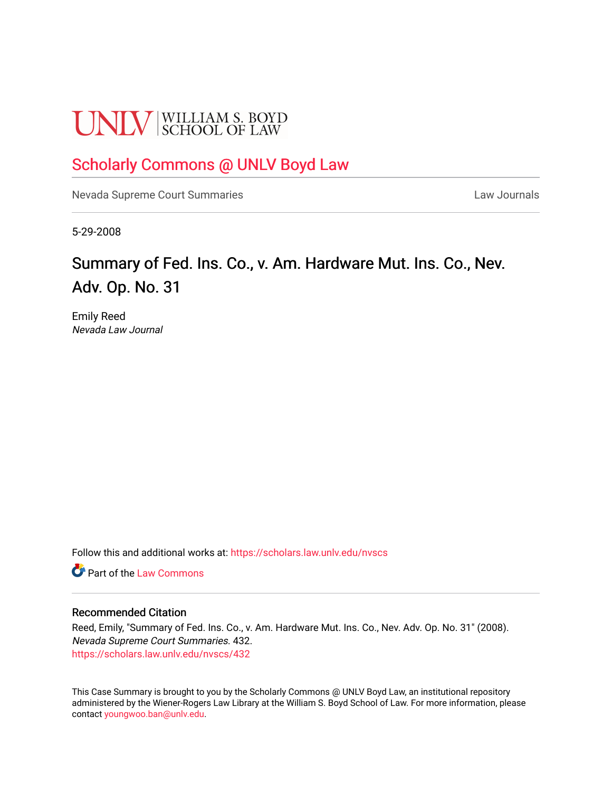# **UNLV** SCHOOL OF LAW

## [Scholarly Commons @ UNLV Boyd Law](https://scholars.law.unlv.edu/)

[Nevada Supreme Court Summaries](https://scholars.law.unlv.edu/nvscs) **Law Journals** Law Journals

5-29-2008

# Summary of Fed. Ins. Co., v. Am. Hardware Mut. Ins. Co., Nev. Adv. Op. No. 31

Emily Reed Nevada Law Journal

Follow this and additional works at: [https://scholars.law.unlv.edu/nvscs](https://scholars.law.unlv.edu/nvscs?utm_source=scholars.law.unlv.edu%2Fnvscs%2F432&utm_medium=PDF&utm_campaign=PDFCoverPages)

**C** Part of the [Law Commons](http://network.bepress.com/hgg/discipline/578?utm_source=scholars.law.unlv.edu%2Fnvscs%2F432&utm_medium=PDF&utm_campaign=PDFCoverPages)

#### Recommended Citation

Reed, Emily, "Summary of Fed. Ins. Co., v. Am. Hardware Mut. Ins. Co., Nev. Adv. Op. No. 31" (2008). Nevada Supreme Court Summaries. 432. [https://scholars.law.unlv.edu/nvscs/432](https://scholars.law.unlv.edu/nvscs/432?utm_source=scholars.law.unlv.edu%2Fnvscs%2F432&utm_medium=PDF&utm_campaign=PDFCoverPages)

This Case Summary is brought to you by the Scholarly Commons @ UNLV Boyd Law, an institutional repository administered by the Wiener-Rogers Law Library at the William S. Boyd School of Law. For more information, please contact [youngwoo.ban@unlv.edu](mailto:youngwoo.ban@unlv.edu).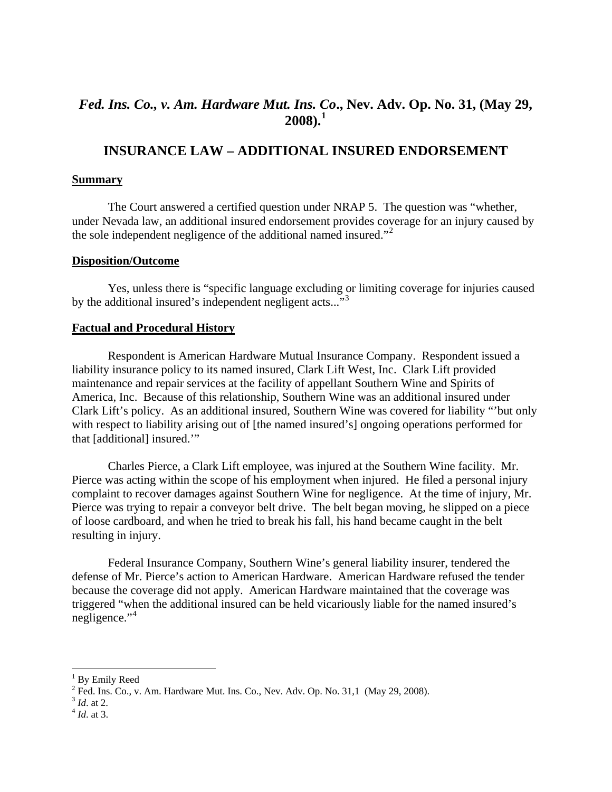### *Fed. Ins. Co., v. Am. Hardware Mut. Ins. Co***., Nev. Adv. Op. No. 31, (May 29, 2008).[1](#page-1-0)**

## **INSURANCE LAW – ADDITIONAL INSURED ENDORSEMENT**

#### **Summary**

 The Court answered a certified question under NRAP 5. The question was "whether, under Nevada law, an additional insured endorsement provides coverage for an injury caused by the sole independent negligence of the additional named insured."<sup>[2](#page-1-1)</sup>

#### **Disposition/Outcome**

Yes, unless there is "specific language excluding or limiting coverage for injuries caused by the additional insured's independent negligent acts..."<sup>[3](#page-1-2)</sup>

#### **Factual and Procedural History**

 Respondent is American Hardware Mutual Insurance Company. Respondent issued a liability insurance policy to its named insured, Clark Lift West, Inc. Clark Lift provided maintenance and repair services at the facility of appellant Southern Wine and Spirits of America, Inc. Because of this relationship, Southern Wine was an additional insured under Clark Lift's policy. As an additional insured, Southern Wine was covered for liability "'but only with respect to liability arising out of [the named insured's] ongoing operations performed for that [additional] insured.'"

 Charles Pierce, a Clark Lift employee, was injured at the Southern Wine facility. Mr. Pierce was acting within the scope of his employment when injured. He filed a personal injury complaint to recover damages against Southern Wine for negligence. At the time of injury, Mr. Pierce was trying to repair a conveyor belt drive. The belt began moving, he slipped on a piece of loose cardboard, and when he tried to break his fall, his hand became caught in the belt resulting in injury.

 Federal Insurance Company, Southern Wine's general liability insurer, tendered the defense of Mr. Pierce's action to American Hardware. American Hardware refused the tender because the coverage did not apply. American Hardware maintained that the coverage was triggered "when the additional insured can be held vicariously liable for the named insured's negligence."<sup>[4](#page-1-3)</sup>

 $\overline{a}$ 

<span id="page-1-0"></span><sup>&</sup>lt;sup>1</sup> By Emily Reed

<span id="page-1-1"></span><sup>&</sup>lt;sup>2</sup> Fed. Ins. Co., v. Am. Hardware Mut. Ins. Co., Nev. Adv. Op. No. 31,1 (May 29, 2008). <sup>3</sup> *Id.* at 2.  $^{4}$  *Id.* at 3.

<span id="page-1-2"></span>

<span id="page-1-3"></span>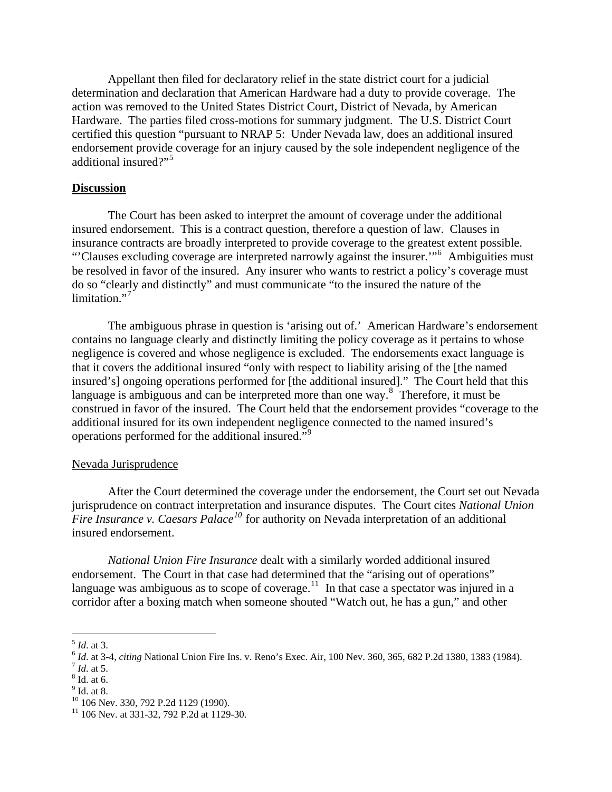Appellant then filed for declaratory relief in the state district court for a judicial determination and declaration that American Hardware had a duty to provide coverage. The action was removed to the United States District Court, District of Nevada, by American Hardware. The parties filed cross-motions for summary judgment. The U.S. District Court certified this question "pursuant to NRAP 5: Under Nevada law, does an additional insured endorsement provide coverage for an injury caused by the sole independent negligence of the additional insured?"[5](#page-2-0)

#### **Discussion**

 The Court has been asked to interpret the amount of coverage under the additional insured endorsement. This is a contract question, therefore a question of law. Clauses in insurance contracts are broadly interpreted to provide coverage to the greatest extent possible. "'Clauses excluding coverage are interpreted narrowly against the insurer.'"[6](#page-2-1) Ambiguities must be resolved in favor of the insured. Any insurer who wants to restrict a policy's coverage must do so "clearly and distinctly" and must communicate "to the insured the nature of the limitation."<sup>[7](#page-2-2)</sup>

 The ambiguous phrase in question is 'arising out of.' American Hardware's endorsement contains no language clearly and distinctly limiting the policy coverage as it pertains to whose negligence is covered and whose negligence is excluded. The endorsements exact language is that it covers the additional insured "only with respect to liability arising of the [the named insured's] ongoing operations performed for [the additional insured]." The Court held that this language is ambiguous and can be interpreted more than one way.<sup>[8](#page-2-3)</sup> Therefore, it must be construed in favor of the insured. The Court held that the endorsement provides "coverage to the additional insured for its own independent negligence connected to the named insured's operations performed for the additional insured."<sup>[9](#page-2-4)</sup>

#### Nevada Jurisprudence

 After the Court determined the coverage under the endorsement, the Court set out Nevada jurisprudence on contract interpretation and insurance disputes. The Court cites *National Union Fire Insurance v. Caesars Palace[10](#page-2-5)* for authority on Nevada interpretation of an additional insured endorsement.

*National Union Fire Insurance* dealt with a similarly worded additional insured endorsement. The Court in that case had determined that the "arising out of operations" language was ambiguous as to scope of coverage.<sup>[11](#page-2-6)</sup> In that case a spectator was injured in a corridor after a boxing match when someone shouted "Watch out, he has a gun," and other

<u>.</u>

<span id="page-2-1"></span><span id="page-2-0"></span><sup>&</sup>lt;sup>5</sup> *Id.* at 3.<br>
<sup>6</sup> *Id.* at 3-4, *citing* National Union Fire Ins. v. Reno's Exec. Air, 100 Nev. 360, 365, 682 P.2d 1380, 1383 (1984).<br>
<sup>7</sup> *Id.* at 5.

<span id="page-2-3"></span><span id="page-2-2"></span> $8$  Id. at 6.

<span id="page-2-4"></span><sup>&</sup>lt;sup>9</sup> Id. at 8.

<span id="page-2-5"></span><sup>&</sup>lt;sup>10</sup> 106 Nev. 330, 792 P.2d 1129 (1990).

<span id="page-2-6"></span> $11$  106 Nev. at 331-32, 792 P.2d at 1129-30.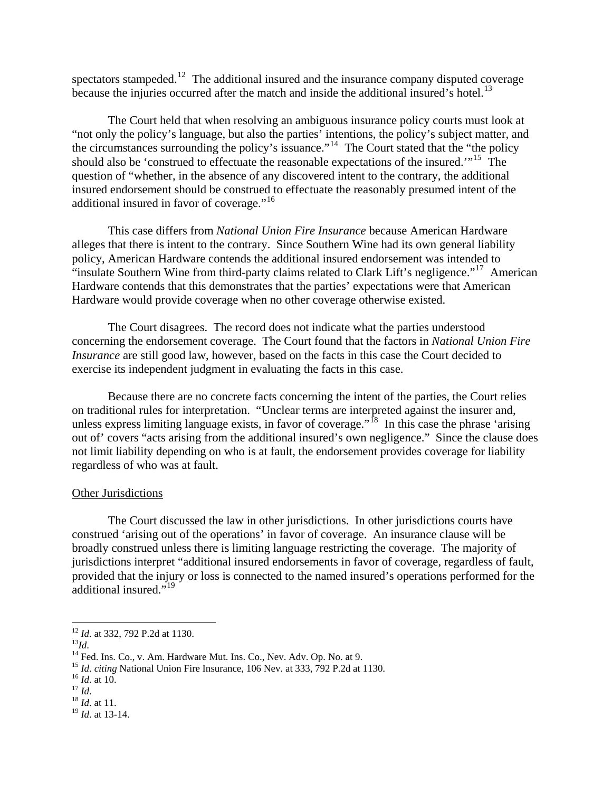spectators stampeded.<sup>[12](#page-3-0)</sup> The additional insured and the insurance company disputed coverage because the injuries occurred after the match and inside the additional insured's hotel.<sup>[13](#page-3-1)</sup>

 The Court held that when resolving an ambiguous insurance policy courts must look at "not only the policy's language, but also the parties' intentions, the policy's subject matter, and the circumstances surrounding the policy's issuance."[14](#page-3-2) The Court stated that the "the policy should also be 'construed to effectuate the reasonable expectations of the insured.'"[15](#page-3-3) The question of "whether, in the absence of any discovered intent to the contrary, the additional insured endorsement should be construed to effectuate the reasonably presumed intent of the additional insured in favor of coverage."<sup>[16](#page-3-4)</sup>

 This case differs from *National Union Fire Insurance* because American Hardware alleges that there is intent to the contrary. Since Southern Wine had its own general liability policy, American Hardware contends the additional insured endorsement was intended to "insulate Southern Wine from third-party claims related to Clark Lift's negligence."<sup>[17](#page-3-5)</sup> American Hardware contends that this demonstrates that the parties' expectations were that American Hardware would provide coverage when no other coverage otherwise existed.

 The Court disagrees. The record does not indicate what the parties understood concerning the endorsement coverage. The Court found that the factors in *National Union Fire Insurance* are still good law, however, based on the facts in this case the Court decided to exercise its independent judgment in evaluating the facts in this case.

 Because there are no concrete facts concerning the intent of the parties, the Court relies on traditional rules for interpretation. "Unclear terms are interpreted against the insurer and, unless express limiting language exists, in favor of coverage."<sup>[18](#page-3-6)</sup> In this case the phrase 'arising out of' covers "acts arising from the additional insured's own negligence." Since the clause does not limit liability depending on who is at fault, the endorsement provides coverage for liability regardless of who was at fault.

#### Other Jurisdictions

 The Court discussed the law in other jurisdictions. In other jurisdictions courts have construed 'arising out of the operations' in favor of coverage. An insurance clause will be broadly construed unless there is limiting language restricting the coverage. The majority of jurisdictions interpret "additional insured endorsements in favor of coverage, regardless of fault, provided that the injury or loss is connected to the named insured's operations performed for the additional insured."<sup>[19](#page-3-7)</sup>

<span id="page-3-0"></span><sup>&</sup>lt;sup>12</sup> *Id.* at 332, 792 P.2d at 1130.

<span id="page-3-1"></span>

<sup>13</sup> *Id.*<br><sup>13</sup>*Id.* 4 Fed. Ins. Co., v. Am. Hardware Mut. Ins. Co., Nev. Adv. Op. No. at 9.

<span id="page-3-4"></span><span id="page-3-3"></span><span id="page-3-2"></span><sup>&</sup>lt;sup>15</sup> *Id. citing* National Union Fire Insurance, 106 Nev. at 333, 792 P.2d at 1130.<br><sup>16</sup> *Id.* at 10. <sup>17</sup> *Id.* 18 *Id.* at 11.

<span id="page-3-6"></span><span id="page-3-5"></span>

<span id="page-3-7"></span><sup>19</sup> *Id*. at 13-14.